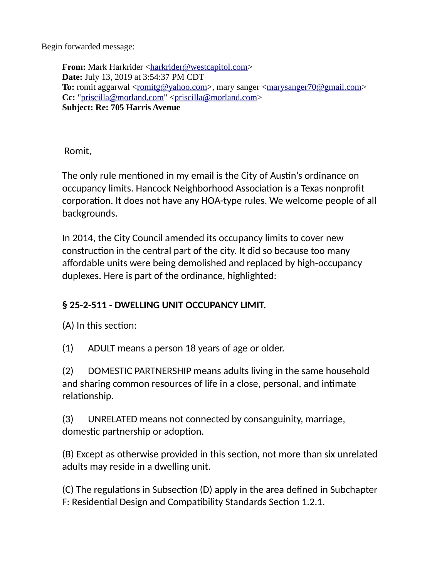Begin forwarded message:

**From:** Mark Harkrider [<harkrider@westcapitol.com>](mailto:harkrider@westcapitol.com) **Date:** July 13, 2019 at 3:54:37 PM CDT **To:** romit aggarwal <<u>romitg@yahoo.com</u>>, mary sanger <<u>marysanger70@gmail.com</u>> **Cc:** ["priscilla@morland.com"](mailto:priscilla@morland.com) [<priscilla@morland.com>](mailto:priscilla@morland.com) **Subject: Re: 705 Harris Avenue**

Romit,

The only rule mentioned in my email is the City of Austin's ordinance on occupancy limits. Hancock Neighborhood Association is a Texas nonprofit corporation. It does not have any HOA-type rules. We welcome people of all backgrounds.

In 2014, the City Council amended its occupancy limits to cover new construction in the central part of the city. It did so because too many affordable units were being demolished and replaced by high-occupancy duplexes. Here is part of the ordinance, highlighted:

## **§ 25-2-511 - DWELLING UNIT OCCUPANCY LIMIT.**

(A) In this section:

(1) ADULT means a person 18 years of age or older.

(2) DOMESTIC PARTNERSHIP means adults living in the same household and sharing common resources of life in a close, personal, and intimate relationship.

(3) UNRELATED means not connected by consanguinity, marriage, domestic partnership or adoption.

(B) Except as otherwise provided in this section, not more than six unrelated adults may reside in a dwelling unit.

(C) The regulations in Subsection (D) apply in the area defined in Subchapter F: Residential Design and Compatibility Standards Section 1.2.1.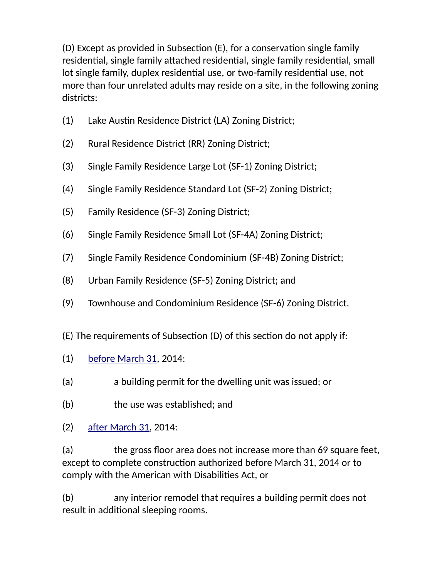(D) Except as provided in Subsection (E), for a conservation single family residential, single family attached residential, single family residential, small lot single family, duplex residential use, or two-family residential use, not more than four unrelated adults may reside on a site, in the following zoning districts:

- (1) Lake Austin Residence District (LA) Zoning District;
- (2) Rural Residence District (RR) Zoning District;
- (3) Single Family Residence Large Lot (SF-1) Zoning District;
- (4) Single Family Residence Standard Lot (SF-2) Zoning District;
- (5) Family Residence (SF-3) Zoning District;
- (6) Single Family Residence Small Lot (SF-4A) Zoning District;
- (7) Single Family Residence Condominium (SF-4B) Zoning District;
- (8) Urban Family Residence (SF-5) Zoning District; and
- (9) Townhouse and Condominium Residence (SF-6) Zoning District.
- (E) The requirements of Subsection (D) of this section do not apply if:
- (1) [before March 31,](x-apple-data-detectors://0) 2014:
- (a) a building permit for the dwelling unit was issued; or
- (b) the use was established; and
- (2) [after March 31,](x-apple-data-detectors://1) 2014:

(a) the gross floor area does not increase more than 69 square feet, except to complete construction authorized before March 31, 2014 or to comply with the American with Disabilities Act, or

(b) any interior remodel that requires a building permit does not result in additional sleeping rooms.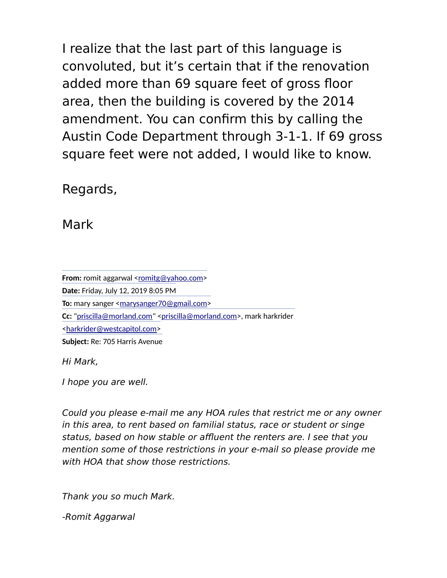I realize that the last part of this language is convoluted, but it's certain that if the renovation added more than 69 square feet of gross floor area, then the building is covered by the 2014 amendment. You can confirm this by calling the Austin Code Department through 3-1-1. If 69 gross square feet were not added, I would like to know.

Regards,

Mark

**From:** romit aggarwal [<romitg@yahoo.com>](mailto:romitg@yahoo.com) **Date:** Friday, July 12, 2019 8:05 PM **To:** mary sanger [<marysanger70@gmail.com>](mailto:marysanger70@gmail.com) **Cc:** ["priscilla@morland.com"](mailto:priscilla@morland.com) [<priscilla@morland.com>](mailto:priscilla@morland.com), mark harkrider [<harkrider@westcapitol.com>](mailto:harkrider@westcapitol.com) **Subject:** Re: 705 Harris Avenue

Hi Mark,

I hope you are well.

Could you please e-mail me any HOA rules that restrict me or any owner in this area, to rent based on familial status, race or student or singe status, based on how stable or affluent the renters are. I see that you mention some of those restrictions in your e-mail so please provide me with HOA that show those restrictions.

Thank you so much Mark.

-Romit Aggarwal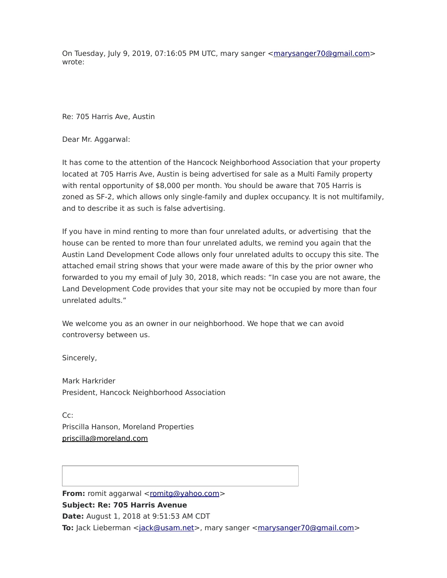On Tuesday, July 9, 2019, 07:16:05 PM UTC, mary sanger [<marysanger70@gmail.com>](mailto:marysanger70@gmail.com) wrote:

Re: 705 Harris Ave, Austin

Dear Mr. Aggarwal:

It has come to the attention of the Hancock Neighborhood Association that your property located at 705 Harris Ave, Austin is being advertised for sale as a Multi Family property with rental opportunity of \$8,000 per month. You should be aware that 705 Harris is zoned as SF-2, which allows only single-family and duplex occupancy. It is not multifamily, and to describe it as such is false advertising.

If you have in mind renting to more than four unrelated adults, or advertising that the house can be rented to more than four unrelated adults, we remind you again that the Austin Land Development Code allows only four unrelated adults to occupy this site. The attached email string shows that your were made aware of this by the prior owner who forwarded to you my email of July 30, 2018, which reads: "In case you are not aware, the Land Development Code provides that your site may not be occupied by more than four unrelated adults."

We welcome you as an owner in our neighborhood. We hope that we can avoid controversy between us.

Sincerely,

Mark Harkrider President, Hancock Neighborhood Association

Cc: Priscilla Hanson, Moreland Properties [priscilla@moreland.com](mailto:priscilla@moreland.com)

**From:** romit aggarwal [<romitg@yahoo.com>](mailto:romitg@yahoo.com) **Subject: Re: 705 Harris Avenue Date:** August 1, 2018 at 9:51:53 AM CDT **To:** Jack Lieberman [<jack@usam.net>](mailto:jack@usam.net), mary sanger [<marysanger70@gmail.com>](mailto:marysanger70@gmail.com)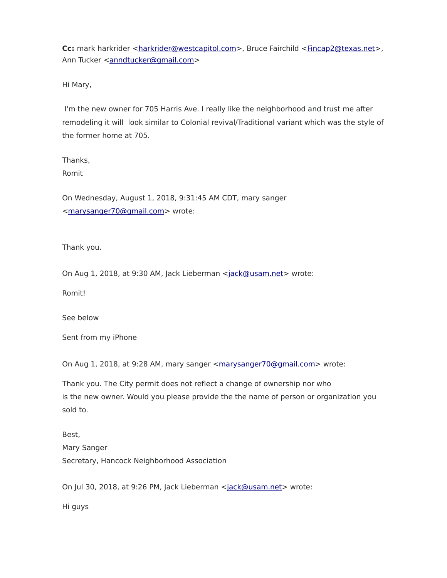**Cc:** mark harkrider [<harkrider@westcapitol.com>](mailto:harkrider@westcapitol.com), Bruce Fairchild <fincap2@texas.net>, Ann Tucker [<anndtucker@gmail.com>](mailto:anndtucker@gmail.com)

Hi Mary,

I'm the new owner for 705 Harris Ave. I really like the neighborhood and trust me after remodeling it will look similar to Colonial revival/Traditional variant which was the style of the former home at 705.

Thanks,

Romit

On Wednesday, August 1, 2018, 9:31:45 AM CDT, mary sanger [<marysanger70@gmail.com>](mailto:marysanger70@gmail.com) wrote:

Thank you.

On Aug 1, 2018, at 9:30 AM, Jack Lieberman [<jack@usam.net>](mailto:jack@usam.net%20/t%20_blank) wrote:

Romit!

See below

Sent from my iPhone

On Aug 1, 2018, at 9:28 AM, mary sanger [<marysanger70@gmail.com>](mailto:marysanger70@gmail.com%20/t%20_blank) wrote:

Thank you. The City permit does not reflect a change of ownership nor who is the new owner. Would you please provide the the name of person or organization you sold to.

Best, Mary Sanger Secretary, Hancock Neighborhood Association

On Jul 30, 2018, at 9:26 PM, Jack Lieberman [<jack@usam.net>](mailto:jack@usam.net%20/t%20_blank) wrote:

Hi guys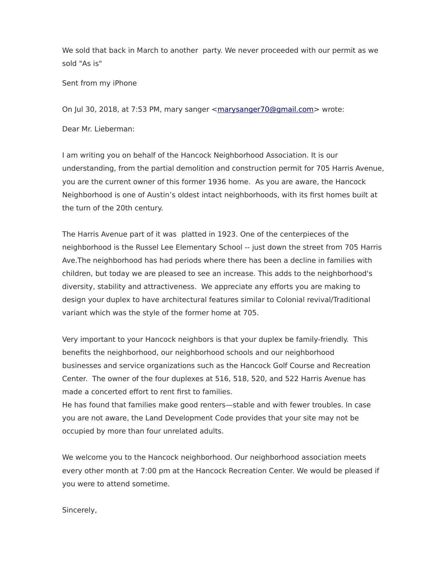We sold that back in March to another party. We never proceeded with our permit as we sold "As is"

Sent from my iPhone

On Jul 30, 2018, at 7:53 PM, mary sanger [<marysanger70@gmail.com>](mailto:marysanger70@gmail.com%20/t%20_blank) wrote:

Dear Mr. Lieberman:

I am writing you on behalf of the Hancock Neighborhood Association. It is our understanding, from the partial demolition and construction permit for 705 Harris Avenue, you are the current owner of this former 1936 home. As you are aware, the Hancock Neighborhood is one of Austin's oldest intact neighborhoods, with its first homes built at the turn of the 20th century.

The Harris Avenue part of it was platted in 1923. One of the centerpieces of the neighborhood is the Russel Lee Elementary School -- just down the street from 705 Harris Ave.The neighborhood has had periods where there has been a decline in families with children, but today we are pleased to see an increase. This adds to the neighborhood's diversity, stability and attractiveness. We appreciate any efforts you are making to design your duplex to have architectural features similar to Colonial revival/Traditional variant which was the style of the former home at 705.

Very important to your Hancock neighbors is that your duplex be family-friendly. This benefits the neighborhood, our neighborhood schools and our neighborhood businesses and service organizations such as the Hancock Golf Course and Recreation Center. The owner of the four duplexes at 516, 518, 520, and 522 Harris Avenue has made a concerted effort to rent first to families.

He has found that families make good renters—stable and with fewer troubles. In case you are not aware, the Land Development Code provides that your site may not be occupied by more than four unrelated adults.

We welcome you to the Hancock neighborhood. Our neighborhood association meets every other month at 7:00 pm at the Hancock Recreation Center. We would be pleased if you were to attend sometime.

Sincerely,